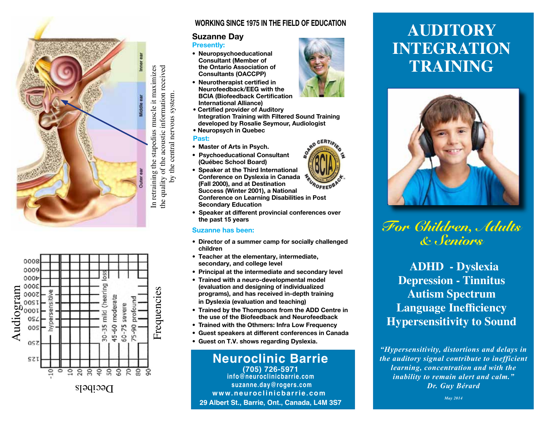



### **WORKING SINCE 1975 IN THE FIELD OF EDUCATION**

### **Suzanne Day**

#### **Presently:**

- **Neuropsychoeducational Consultant (Member of the Ontario Association of**  $Consultants (OACCPP)$
- **Neurotherapist certified in Neurofeedback/EEG with the BCIA (Biofeedback Certification) International Alliance)**
- **Certified provider of Auditory Integration Training with Filtered Sound Training k** developed by Rosalie Seymour, Audiologist
- **Neuropsych in Quebec**

### **Past:**

by the central nervous system.

by the central nervous system.

- **Master of Arts in Psych.**
- **Psychoeducational Consultant (Québec School Board)**
- **Speaker at the Third International Conference on Dyslexia in Canada (Fall 2000), and at Destination**  $Success$  (Winter 2001), a National **Conference on Learning Disabilities in Post Secondary Education**
- **Speaker at different provincial conferences over the past 15 years**

### **Suzanne has been:**

- **Director of a summer camp for socially challenged** children
- **Teacher at the elementary, intermediate.**  $sec$ **ondary**, and college level
- **Principal at the intermediate and secondary level**
- **Trained with a neuro-developmental model Levaluation and designing of individualized programs), and has received in-depth training**  $\overline{P}$  **h** Dyslexia (evaluation and teaching)
- **Trained by the Thompsons from the ADD Centre in**  $\overline{E}$  the use of the Biofeedback and Neurofeedback
- **Trained with the Othmers: Infra Low Frequency**
- **Guest speakers at different conferences in Canada**
- **Guest on T.V. shows regarding Dyslexia.**

## **Neuroclinic Barrie**

**(705) 726-5971 info@neuroclinicbarrie.com suzanne.day@rogers.com www.neuroclinicbarrie.com 29 Albert St., Barrie, Ont., Canada, L4M 3S7**



# **AUDITORY INTEGRATION TRAINING**



*For Children, Adults & Seniors*

 **ADHD - Dyslexia Depression - Tinnitus Autism Spectrum Language Inefficiency Hypersensitivity to Sound**

*"Hypersensitivity, distortions and delays in the auditory signal contribute to inefficient learning, concentration and with the inability to remain alert and calm." Dr. Guy Bérard*

*May 2014*